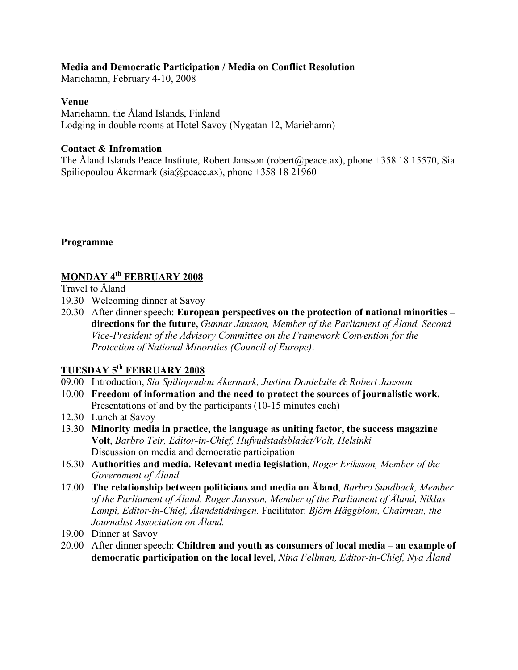### **Media and Democratic Participation / Media on Conflict Resolution**

Mariehamn, February 4-10, 2008

#### **Venue**

Mariehamn, the Åland Islands, Finland Lodging in double rooms at Hotel Savoy (Nygatan 12, Mariehamn)

### **Contact & Infromation**

The Åland Islands Peace Institute, Robert Jansson (robert@peace.ax), phone +358 18 15570, Sia Spiliopoulou Åkermark (sia@peace.ax), phone +358 18 21960

### **Programme**

## **MONDAY 4th FEBRUARY 2008**

Travel to Åland

- 19.30 Welcoming dinner at Savoy
- 20.30 After dinner speech: **European perspectives on the protection of national minorities – directions for the future,** *Gunnar Jansson, Member of the Parliament of Åland, Second Vice-President of the Advisory Committee on the Framework Convention for the Protection of National Minorities (Council of Europe)*.

# **TUESDAY 5th FEBRUARY 2008**

- 09.00 Introduction, *Sia Spiliopoulou Åkermark, Justina Donielaite & Robert Jansson*
- 10.00 **Freedom of information and the need to protect the sources of journalistic work.** Presentations of and by the participants (10-15 minutes each)
- 12.30 Lunch at Savoy
- 13.30 **Minority media in practice, the language as uniting factor, the success magazine Volt**, *Barbro Teir, Editor-in-Chief, Hufvudstadsbladet/Volt, Helsinki* Discussion on media and democratic participation
- 16.30 **Authorities and media. Relevant media legislation**, *Roger Eriksson, Member of the Government of Åland*
- 17.00 **The relationship between politicians and media on Åland**, *Barbro Sundback, Member of the Parliament of Åland, Roger Jansson, Member of the Parliament of Åland, Niklas Lampi, Editor-in-Chief, Ålandstidningen.* Facilitator: *Björn Häggblom, Chairman, the Journalist Association on Åland.*
- 19.00 Dinner at Savoy
- 20.00 After dinner speech: **Children and youth as consumers of local media an example of democratic participation on the local level**, *Nina Fellman, Editor-in-Chief, Nya Åland*